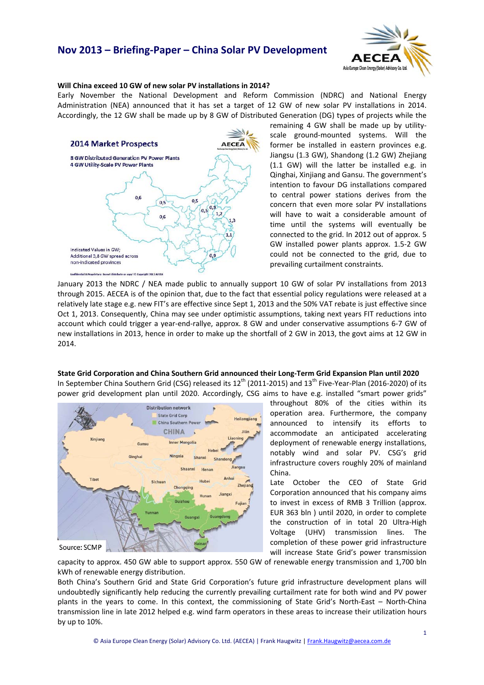# **Nov 2013 – Briefing‐Paper – China Solar PV Development**



## **Will China exceed 10 GW of new solar PV installations in 2014?**

Early November the National Development and Reform Commission (NDRC) and National Energy Administration (NEA) announced that it has set a target of 12 GW of new solar PV installations in 2014. Accordingly, the 12 GW shall be made up by 8 GW of Distributed Generation (DG) types of projects while the



remaining 4 GW shall be made up by utility‐ scale ground‐mounted systems. Will the former be installed in eastern provinces e.g. Jiangsu (1.3 GW), Shandong (1.2 GW) Zhejiang (1.1 GW) will the latter be installed e.g. in Qinghai, Xinjiang and Gansu. The government's intention to favour DG installations compared to central power stations derives from the concern that even more solar PV installations will have to wait a considerable amount of time until the systems will eventually be connected to the grid. In 2012 out of approx. 5 GW installed power plants approx. 1.5‐2 GW could not be connected to the grid, due to prevailing curtailment constraints.

January 2013 the NDRC / NEA made public to annually support 10 GW of solar PV installations from 2013 through 2015. AECEA is of the opinion that, due to the fact that essential policy regulations were released at a relatively late stage e.g. new FIT's are effective since Sept 1, 2013 and the 50% VAT rebate is just effective since Oct 1, 2013. Consequently, China may see under optimistic assumptions, taking next years FIT reductions into account which could trigger a year‐end‐rallye, approx. 8 GW and under conservative assumptions 6‐7 GW of new installations in 2013, hence in order to make up the shortfall of 2 GW in 2013, the govt aims at 12 GW in 2014.

## **State Grid Corporation and China Southern Grid announced their Long‐Term Grid Expansion Plan until 2020**

In September China Southern Grid (CSG) released its 12<sup>th</sup> (2011-2015) and 13<sup>th</sup> Five-Year-Plan (2016-2020) of its power grid development plan until 2020. Accordingly, CSG aims to have e.g. installed "smart power grids"



throughout 80% of the cities within its operation area. Furthermore, the company announced to intensify its efforts to accommodate an anticipated accelerating deployment of renewable energy installations, notably wind and solar PV. CSG's grid infrastructure covers roughly 20% of mainland China.

Late October the CEO of State Grid Corporation announced that his company aims to invest in excess of RMB 3 Trillion (approx. EUR 363 bln ) until 2020, in order to complete the construction of in total 20 Ultra‐High Voltage (UHV) transmission lines. The completion of these power grid infrastructure will increase State Grid's power transmission

capacity to approx. 450 GW able to support approx. 550 GW of renewable energy transmission and 1,700 bln kWh of renewable energy distribution.

Both China's Southern Grid and State Grid Corporation's future grid infrastructure development plans will undoubtedly significantly help reducing the currently prevailing curtailment rate for both wind and PV power plants in the years to come. In this context, the commissioning of State Grid's North‐East – North‐China transmission line in late 2012 helped e.g. wind farm operators in these areas to increase their utilization hours by up to 10%.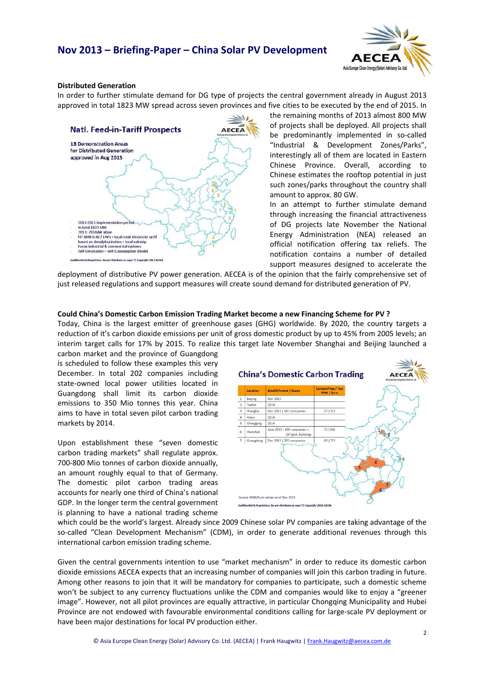## **Nov 2013 – Briefing‐Paper – China Solar PV Development**



## **Distributed Generation**

In order to further stimulate demand for DG type of projects the central government already in August 2013 approved in total 1823 MW spread across seven provinces and five cities to be executed by the end of 2015. In



the remaining months of 2013 almost 800 MW of projects shall be deployed. All projects shall be predominantly implemented in so-called "Industrial & Development Zones/Parks", interestingly all of them are located in Eastern Chinese Province. Overall, according to Chinese estimates the rooftop potential in just such zones/parks throughout the country shall amount to approx. 80 GW.

In an attempt to further stimulate demand through increasing the financial attractiveness of DG projects late November the National Energy Administration (NEA) released an official notification offering tax reliefs. The notification contains a number of detailed support measures designed to accelerate the

deployment of distributive PV power generation. AECEA is of the opinion that the fairly comprehensive set of just released regulations and support measures will create sound demand for distributed generation of PV.

#### **Could China's Domestic Carbon Emission Trading Market become a new Financing Scheme for PV ?**

Today, China is the largest emitter of greenhouse gases (GHG) worldwide. By 2020, the country targets a reduction of it's carbon dioxide emissions per unit of gross domestic product by up to 45% from 2005 levels; an interim target calls for 17% by 2015. To realize this target late November Shanghai and Beijing launched a

carbon market and the province of Guangdong is scheduled to follow these examples this very December. In total 202 companies including state‐owned local power utilities located in Guangdong shall limit its carbon dioxide emissions to 350 Mio tonnes this year. China aims to have in total seven pilot carbon trading markets by 2014.

Upon establishment these "seven domestic carbon trading markets" shall regulate approx. 700‐800 Mio tonnes of carbon dioxide annually, an amount roughly equal to that of Germany. The domestic pilot carbon trading areas accounts for nearly one third of China's national GDP. In the longer term the central government is planning to have a national trading scheme



which could be the world's largest. Already since 2009 Chinese solar PV companies are taking advantage of the so-called "Clean Development Mechanism" (CDM), in order to generate additional revenues through this international carbon emission trading scheme.

Given the central governments intention to use "market mechanism" in order to reduce its domestic carbon dioxide emissions AECEA expects that an increasing number of companies will join this carbon trading in future. Among other reasons to join that it will be mandatory for companies to participate, such a domestic scheme won't be subject to any currency fluctuations unlike the CDM and companies would like to enjoy a "greener image". However, not all pilot provinces are equally attractive, in particular Chongqing Municipality and Hubei Province are not endowed with favourable environmental conditions calling for large‐scale PV deployment or have been major destinations for local PV production either.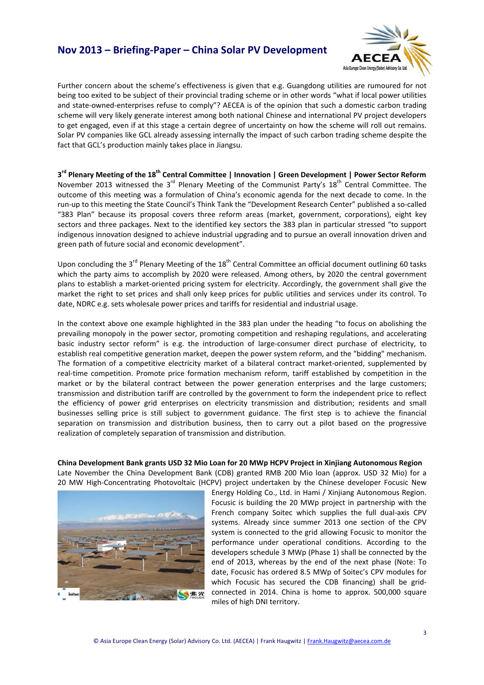## **Nov 2013 – Briefing‐Paper – China Solar PV Development**



Further concern about the scheme's effectiveness is given that e.g. Guangdong utilities are rumoured for not being too exited to be subject of their provincial trading scheme or in other words "what if local power utilities and state-owned-enterprises refuse to comply"? AECEA is of the opinion that such a domestic carbon trading scheme will very likely generate interest among both national Chinese and international PV project developers to get engaged, even if at this stage a certain degree of uncertainty on how the scheme will roll out remains. Solar PV companies like GCL already assessing internally the impact of such carbon trading scheme despite the fact that GCL's production mainly takes place in Jiangsu.

3<sup>rd</sup> Plenary Meeting of the 18<sup>th</sup> Central Committee | Innovation | Green Development | Power Sector Reform November 2013 witnessed the 3rd Plenary Meeting of the Communist Party's 18th Central Committee. The outcome of this meeting was a formulation of China's economic agenda for the next decade to come. In the run-up to this meeting the State Council's Think Tank the "Development Research Center" published a so-called "383 Plan" because its proposal covers three reform areas (market, government, corporations), eight key sectors and three packages. Next to the identified key sectors the 383 plan in particular stressed "to support indigenous innovation designed to achieve industrial upgrading and to pursue an overall innovation driven and green path of future social and economic development".

Upon concluding the 3<sup>rd</sup> Plenary Meeting of the 18<sup>th</sup> Central Committee an official document outlining 60 tasks which the party aims to accomplish by 2020 were released. Among others, by 2020 the central government plans to establish a market-oriented pricing system for electricity. Accordingly, the government shall give the market the right to set prices and shall only keep prices for public utilities and services under its control. To date, NDRC e.g. sets wholesale power prices and tariffs for residential and industrial usage.

In the context above one example highlighted in the 383 plan under the heading "to focus on abolishing the prevailing monopoly in the power sector, promoting competition and reshaping regulations, and accelerating basic industry sector reform" is e.g. the introduction of large‐consumer direct purchase of electricity, to establish real competitive generation market, deepen the power system reform, and the "bidding" mechanism. The formation of a competitive electricity market of a bilateral contract market-oriented, supplemented by real‐time competition. Promote price formation mechanism reform, tariff established by competition in the market or by the bilateral contract between the power generation enterprises and the large customers; transmission and distribution tariff are controlled by the government to form the independent price to reflect the efficiency of power grid enterprises on electricity transmission and distribution; residents and small businesses selling price is still subject to government guidance. The first step is to achieve the financial separation on transmission and distribution business, then to carry out a pilot based on the progressive realization of completely separation of transmission and distribution.

**China Development Bank grants USD 32 Mio Loan for 20 MWp HCPV Project in Xinjiang Autonomous Region** Late November the China Development Bank (CDB) granted RMB 200 Mio loan (approx. USD 32 Mio) for a 20 MW High-Concentrating Photovoltaic (HCPV) project undertaken by the Chinese developer Focusic New



Energy Holding Co., Ltd. in Hami / Xinjiang Autonomous Region. Focusic is building the 20 MWp project in partnership with the French company Soitec which supplies the full dual-axis CPV systems. Already since summer 2013 one section of the CPV system is connected to the grid allowing Focusic to monitor the performance under operational conditions. According to the developers schedule 3 MWp (Phase 1) shall be connected by the end of 2013, whereas by the end of the next phase (Note: To date, Focusic has ordered 8.5 MWp of Soitec's CPV modules for which Focusic has secured the CDB financing) shall be gridconnected in 2014. China is home to approx. 500,000 square miles of high DNI territory.